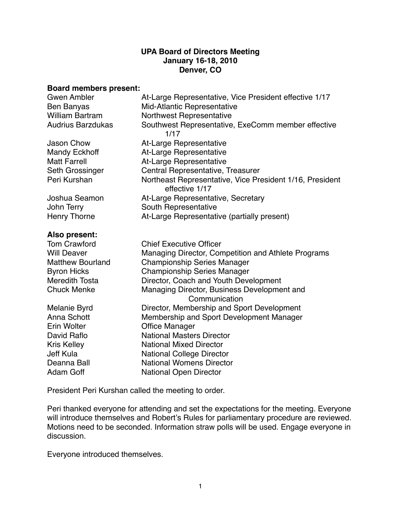#### **UPA Board of Directors Meeting January 16-18, 2010 Denver, CO**

#### **Board members present:**

| <b>Gwen Ambler</b>       | At-Large Representative, Vice President effective 1/17                     |
|--------------------------|----------------------------------------------------------------------------|
| <b>Ben Banyas</b>        | Mid-Atlantic Representative                                                |
| <b>William Bartram</b>   | Northwest Representative                                                   |
| <b>Audrius Barzdukas</b> | Southwest Representative, ExeComm member effective<br>1/17                 |
| <b>Jason Chow</b>        | At-Large Representative                                                    |
| <b>Mandy Eckhoff</b>     | At-Large Representative                                                    |
| <b>Matt Farrell</b>      | At-Large Representative                                                    |
| Seth Grossinger          | Central Representative, Treasurer                                          |
| Peri Kurshan             | Northeast Representative, Vice President 1/16, President<br>effective 1/17 |
| Joshua Seamon            | At-Large Representative, Secretary                                         |
| John Terry               | South Representative                                                       |
| <b>Henry Thorne</b>      | At-Large Representative (partially present)                                |
| Also present:            |                                                                            |
| <b>Tom Crawford</b>      | <b>Chief Executive Officer</b>                                             |
| <b>Will Deaver</b>       | Managing Director, Competition and Athlete Programs                        |
| <b>Matthew Bourland</b>  | <b>Championship Series Manager</b>                                         |
| <b>Byron Hicks</b>       | <b>Championship Series Manager</b>                                         |
| <b>Meredith Tosta</b>    | Director, Coach and Youth Development                                      |
| <b>Chuck Menke</b>       | Managing Director, Business Development and                                |
|                          | Communication                                                              |
| Melanie Byrd             | Director, Membership and Sport Development                                 |
| Anna Schott              | Membership and Sport Development Manager                                   |
| <b>Erin Wolter</b>       | <b>Office Manager</b>                                                      |
| David Raflo              | <b>National Masters Director</b>                                           |
| <b>Kris Kelley</b>       | <b>National Mixed Director</b>                                             |
| <b>Jeff Kula</b>         | National College Director                                                  |
| Deanna Ball              | <b>National Womens Director</b>                                            |
| <b>Adam Goff</b>         | <b>National Open Director</b>                                              |

President Peri Kurshan called the meeting to order.

Peri thanked everyone for attending and set the expectations for the meeting. Everyone will introduce themselves and Robert's Rules for parliamentary procedure are reviewed. Motions need to be seconded. Information straw polls will be used. Engage everyone in discussion.

Everyone introduced themselves.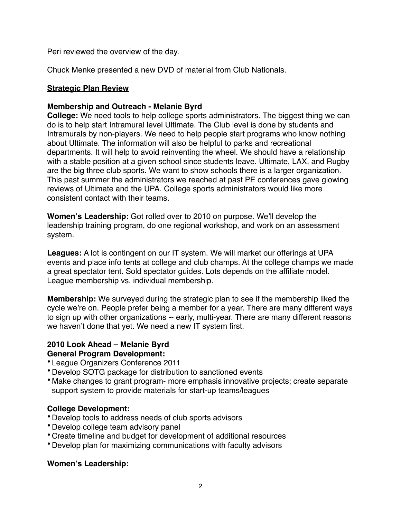Peri reviewed the overview of the day.

Chuck Menke presented a new DVD of material from Club Nationals.

## **Strategic Plan Review**

## **Membership and Outreach - Melanie Byrd**

**College:** We need tools to help college sports administrators. The biggest thing we can do is to help start Intramural level Ultimate. The Club level is done by students and Intramurals by non-players. We need to help people start programs who know nothing about Ultimate. The information will also be helpful to parks and recreational departments. It will help to avoid reinventing the wheel. We should have a relationship with a stable position at a given school since students leave. Ultimate, LAX, and Rugby are the big three club sports. We want to show schools there is a larger organization. This past summer the administrators we reached at past PE conferences gave glowing reviews of Ultimate and the UPA. College sports administrators would like more consistent contact with their teams.

**Women's Leadership:** Got rolled over to 2010 on purpose. We'll develop the leadership training program, do one regional workshop, and work on an assessment system.

**Leagues:** A lot is contingent on our IT system. We will market our offerings at UPA events and place info tents at college and club champs. At the college champs we made a great spectator tent. Sold spectator guides. Lots depends on the affiliate model. League membership vs. individual membership.

**Membership:** We surveyed during the strategic plan to see if the membership liked the cycle we're on. People prefer being a member for a year. There are many different ways to sign up with other organizations -- early, multi-year. There are many different reasons we haven't done that yet. We need a new IT system first.

# **2010 Look Ahead – Melanie Byrd**

# **General Program Development:**

- League Organizers Conference 2011
- •Develop SOTG package for distribution to sanctioned events
- Make changes to grant program- more emphasis innovative projects; create separate support system to provide materials for start-up teams/leagues

# **College Development:**

- •Develop tools to address needs of club sports advisors
- •Develop college team advisory panel
- •Create timeline and budget for development of additional resources
- •Develop plan for maximizing communications with faculty advisors

# **Women's Leadership:**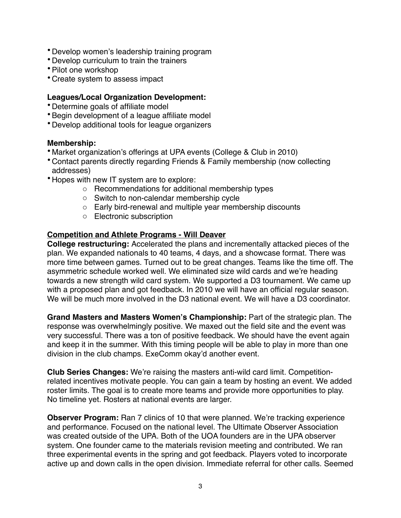- •Develop women's leadership training program
- •Develop curriculum to train the trainers
- •Pilot one workshop
- •Create system to assess impact

#### **Leagues/Local Organization Development:**

- •Determine goals of affiliate model
- •Begin development of a league affiliate model
- •Develop additional tools for league organizers

#### **Membership:**

- Market organization's offerings at UPA events (College & Club in 2010)
- •Contact parents directly regarding Friends & Family membership (now collecting addresses)
- •Hopes with new IT system are to explore:
	- o Recommendations for additional membership types
	- o Switch to non-calendar membership cycle
	- o Early bird-renewal and multiple year membership discounts
	- o Electronic subscription

#### **Competition and Athlete Programs - Will Deaver**

**College restructuring:** Accelerated the plans and incrementally attacked pieces of the plan. We expanded nationals to 40 teams, 4 days, and a showcase format. There was more time between games. Turned out to be great changes. Teams like the time off. The asymmetric schedule worked well. We eliminated size wild cards and we're heading towards a new strength wild card system. We supported a D3 tournament. We came up with a proposed plan and got feedback. In 2010 we will have an official regular season. We will be much more involved in the D3 national event. We will have a D3 coordinator.

**Grand Masters and Masters Women's Championship:** Part of the strategic plan. The response was overwhelmingly positive. We maxed out the field site and the event was very successful. There was a ton of positive feedback. We should have the event again and keep it in the summer. With this timing people will be able to play in more than one division in the club champs. ExeComm okay'd another event.

**Club Series Changes:** We're raising the masters anti-wild card limit. Competitionrelated incentives motivate people. You can gain a team by hosting an event. We added roster limits. The goal is to create more teams and provide more opportunities to play. No timeline yet. Rosters at national events are larger.

**Observer Program:** Ran 7 clinics of 10 that were planned. We're tracking experience and performance. Focused on the national level. The Ultimate Observer Association was created outside of the UPA. Both of the UOA founders are in the UPA observer system. One founder came to the materials revision meeting and contributed. We ran three experimental events in the spring and got feedback. Players voted to incorporate active up and down calls in the open division. Immediate referral for other calls. Seemed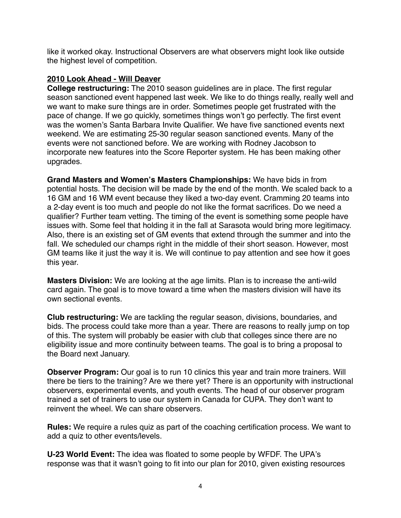like it worked okay. Instructional Observers are what observers might look like outside the highest level of competition.

#### **2010 Look Ahead - Will Deaver**

**College restructuring:** The 2010 season guidelines are in place. The first regular season sanctioned event happened last week. We like to do things really, really well and we want to make sure things are in order. Sometimes people get frustrated with the pace of change. If we go quickly, sometimes things won't go perfectly. The first event was the women's Santa Barbara Invite Qualifier. We have five sanctioned events next weekend. We are estimating 25-30 regular season sanctioned events. Many of the events were not sanctioned before. We are working with Rodney Jacobson to incorporate new features into the Score Reporter system. He has been making other upgrades.

**Grand Masters and Women's Masters Championships:** We have bids in from potential hosts. The decision will be made by the end of the month. We scaled back to a 16 GM and 16 WM event because they liked a two-day event. Cramming 20 teams into a 2-day event is too much and people do not like the format sacrifices. Do we need a qualifier? Further team vetting. The timing of the event is something some people have issues with. Some feel that holding it in the fall at Sarasota would bring more legitimacy. Also, there is an existing set of GM events that extend through the summer and into the fall. We scheduled our champs right in the middle of their short season. However, most GM teams like it just the way it is. We will continue to pay attention and see how it goes this year.

**Masters Division:** We are looking at the age limits. Plan is to increase the anti-wild card again. The goal is to move toward a time when the masters division will have its own sectional events.

**Club restructuring:** We are tackling the regular season, divisions, boundaries, and bids. The process could take more than a year. There are reasons to really jump on top of this. The system will probably be easier with club that colleges since there are no eligibility issue and more continuity between teams. The goal is to bring a proposal to the Board next January.

**Observer Program:** Our goal is to run 10 clinics this year and train more trainers. Will there be tiers to the training? Are we there yet? There is an opportunity with instructional observers, experimental events, and youth events. The head of our observer program trained a set of trainers to use our system in Canada for CUPA. They don't want to reinvent the wheel. We can share observers.

**Rules:** We require a rules quiz as part of the coaching certification process. We want to add a quiz to other events/levels.

**U-23 World Event:** The idea was floated to some people by WFDF. The UPA's response was that it wasn't going to fit into our plan for 2010, given existing resources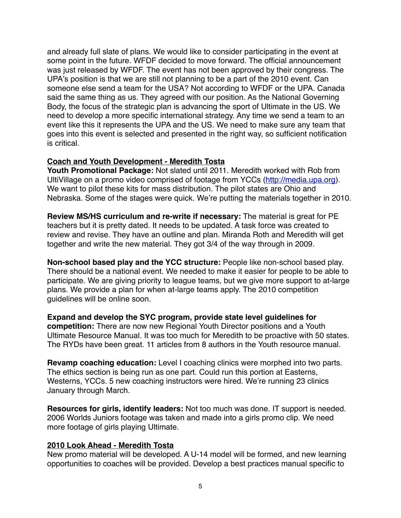and already full slate of plans. We would like to consider participating in the event at some point in the future. WFDF decided to move forward. The official announcement was just released by WFDF. The event has not been approved by their congress. The UPA's position is that we are still not planning to be a part of the 2010 event. Can someone else send a team for the USA? Not according to WFDF or the UPA. Canada said the same thing as us. They agreed with our position. As the National Governing Body, the focus of the strategic plan is advancing the sport of Ultimate in the US. We need to develop a more specific international strategy. Any time we send a team to an event like this it represents the UPA and the US. We need to make sure any team that goes into this event is selected and presented in the right way, so sufficient notification is critical.

## **Coach and Youth Development - Meredith Tosta**

**Youth Promotional Package:** Not slated until 2011. Meredith worked with Rob from UltiVillage on a promo video comprised of footage from YCCs (<http://media.upa.org>). We want to pilot these kits for mass distribution. The pilot states are Ohio and Nebraska. Some of the stages were quick. We're putting the materials together in 2010.

**Review MS/HS curriculum and re-write if necessary:** The material is great for PE teachers but it is pretty dated. It needs to be updated. A task force was created to review and revise. They have an outline and plan. Miranda Roth and Meredith will get together and write the new material. They got 3/4 of the way through in 2009.

**Non-school based play and the YCC structure:** People like non-school based play. There should be a national event. We needed to make it easier for people to be able to participate. We are giving priority to league teams, but we give more support to at-large plans. We provide a plan for when at-large teams apply. The 2010 competition guidelines will be online soon.

**Expand and develop the SYC program, provide state level guidelines for competition:** There are now new Regional Youth Director positions and a Youth Ultimate Resource Manual. It was too much for Meredith to be proactive with 50 states. The RYDs have been great. 11 articles from 8 authors in the Youth resource manual.

**Revamp coaching education:** Level I coaching clinics were morphed into two parts. The ethics section is being run as one part. Could run this portion at Easterns, Westerns, YCCs. 5 new coaching instructors were hired. We're running 23 clinics January through March.

**Resources for girls, identify leaders:** Not too much was done. IT support is needed. 2006 Worlds Juniors footage was taken and made into a girls promo clip. We need more footage of girls playing Ultimate.

#### **2010 Look Ahead - Meredith Tosta**

New promo material will be developed. A U-14 model will be formed, and new learning opportunities to coaches will be provided. Develop a best practices manual specific to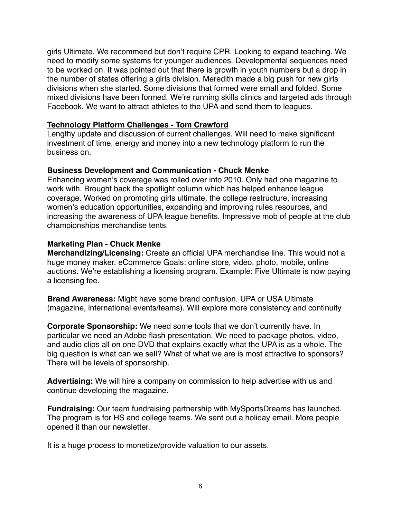girls Ultimate. We recommend but don't require CPR. Looking to expand teaching. We need to modify some systems for younger audiences. Developmental sequences need to be worked on. It was pointed out that there is growth in youth numbers but a drop in the number of states offering a girls division. Meredith made a big push for new girls divisions when she started. Some divisions that formed were small and folded. Some mixed divisions have been formed. We're running skills clinics and targeted ads through Facebook. We want to attract athletes to the UPA and send them to leagues.

#### **Technology Platform Challenges - Tom Crawford**

Lengthy update and discussion of current challenges. Will need to make significant investment of time, energy and money into a new technology platform to run the business on.

#### **Business Development and Communication - Chuck Menke**

Enhancing women's coverage was rolled over into 2010. Only had one magazine to work with. Brought back the spotlight column which has helped enhance league coverage. Worked on promoting girls ultimate, the college restructure, increasing women's education opportunities, expanding and improving rules resources, and increasing the awareness of UPA league benefits. Impressive mob of people at the club championships merchandise tents.

#### **Marketing Plan - Chuck Menke**

**Merchandizing/Licensing:** Create an official UPA merchandise line. This would not a huge money maker. eCommerce Goals: online store, video, photo, mobile, online auctions. We're establishing a licensing program. Example: Five Ultimate is now paying a licensing fee.

**Brand Awareness:** Might have some brand confusion. UPA or USA Ultimate (magazine, international events/teams). Will explore more consistency and continuity

**Corporate Sponsorship:** We need some tools that we don't currently have. In particular we need an Adobe flash presentation. We need to package photos, video, and audio clips all on one DVD that explains exactly what the UPA is as a whole. The big question is what can we sell? What of what we are is most attractive to sponsors? There will be levels of sponsorship.

**Advertising:** We will hire a company on commission to help advertise with us and continue developing the magazine.

**Fundraising:** Our team fundraising partnership with MySportsDreams has launched. The program is for HS and college teams. We sent out a holiday email. More people opened it than our newsletter.

It is a huge process to monetize/provide valuation to our assets.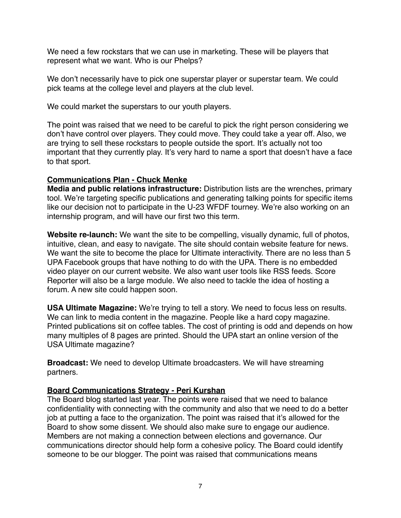We need a few rockstars that we can use in marketing. These will be players that represent what we want. Who is our Phelps?

We don't necessarily have to pick one superstar player or superstar team. We could pick teams at the college level and players at the club level.

We could market the superstars to our youth players.

The point was raised that we need to be careful to pick the right person considering we don't have control over players. They could move. They could take a year off. Also, we are trying to sell these rockstars to people outside the sport. It's actually not too important that they currently play. It's very hard to name a sport that doesn't have a face to that sport.

## **Communications Plan - Chuck Menke**

**Media and public relations infrastructure:** Distribution lists are the wrenches, primary tool. We're targeting specific publications and generating talking points for specific items like our decision not to participate in the U-23 WFDF tourney. We're also working on an internship program, and will have our first two this term.

**Website re-launch:** We want the site to be compelling, visually dynamic, full of photos, intuitive, clean, and easy to navigate. The site should contain website feature for news. We want the site to become the place for Ultimate interactivity. There are no less than 5 UPA Facebook groups that have nothing to do with the UPA. There is no embedded video player on our current website. We also want user tools like RSS feeds. Score Reporter will also be a large module. We also need to tackle the idea of hosting a forum. A new site could happen soon.

**USA Ultimate Magazine:** We're trying to tell a story. We need to focus less on results. We can link to media content in the magazine. People like a hard copy magazine. Printed publications sit on coffee tables. The cost of printing is odd and depends on how many multiples of 8 pages are printed. Should the UPA start an online version of the USA Ultimate magazine?

**Broadcast:** We need to develop Ultimate broadcasters. We will have streaming partners.

# **Board Communications Strategy - Peri Kurshan**

The Board blog started last year. The points were raised that we need to balance confidentiality with connecting with the community and also that we need to do a better job at putting a face to the organization. The point was raised that it's allowed for the Board to show some dissent. We should also make sure to engage our audience. Members are not making a connection between elections and governance. Our communications director should help form a cohesive policy. The Board could identify someone to be our blogger. The point was raised that communications means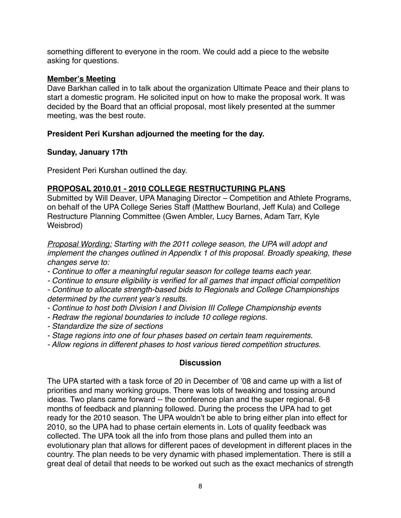something different to everyone in the room. We could add a piece to the website asking for questions.

#### **Member's Meeting**

Dave Barkhan called in to talk about the organization Ultimate Peace and their plans to start a domestic program. He solicited input on how to make the proposal work. It was decided by the Board that an official proposal, most likely presented at the summer meeting, was the best route.

# **President Peri Kurshan adjourned the meeting for the day.**

## **Sunday, January 17th**

President Peri Kurshan outlined the day.

# **PROPOSAL 2010.01 - 2010 COLLEGE RESTRUCTURING PLANS**

Submitted by Will Deaver, UPA Managing Director – Competition and Athlete Programs, on behalf of the UPA College Series Staff (Matthew Bourland, Jeff Kula) and College Restructure Planning Committee (Gwen Ambler, Lucy Barnes, Adam Tarr, Kyle Weisbrod)

*Proposal Wording: Starting with the 2011 college season, the UPA will adopt and implement the changes outlined in Appendix 1 of this proposal. Broadly speaking, these changes serve to:*

- *Continue to offer a meaningful regular season for college teams each year.*
- *Continue to ensure eligibility is verified for all games that impact official competition*
- *Continue to allocate strength-based bids to Regionals and College Championships determined by the current year*'*s results.*
- *Continue to host both Division I and Division III College Championship events*
- *Redraw the regional boundaries to include 10 college regions.*
- *Standardize the size of sections*
- *Stage regions into one of four phases based on certain team requirements.*
- *Allow regions in different phases to host various tiered competition structures.*

# **Discussion**

The UPA started with a task force of 20 in December of '08 and came up with a list of priorities and many working groups. There was lots of tweaking and tossing around ideas. Two plans came forward -- the conference plan and the super regional. 6-8 months of feedback and planning followed. During the process the UPA had to get ready for the 2010 season. The UPA wouldn't be able to bring either plan into effect for 2010, so the UPA had to phase certain elements in. Lots of quality feedback was collected. The UPA took all the info from those plans and pulled them into an evolutionary plan that allows for different paces of development in different places in the country. The plan needs to be very dynamic with phased implementation. There is still a great deal of detail that needs to be worked out such as the exact mechanics of strength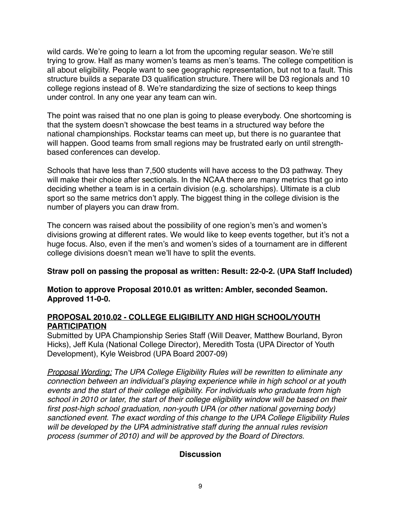wild cards. We're going to learn a lot from the upcoming regular season. We're still trying to grow. Half as many women's teams as men's teams. The college competition is all about eligibility. People want to see geographic representation, but not to a fault. This structure builds a separate D3 qualification structure. There will be D3 regionals and 10 college regions instead of 8. We're standardizing the size of sections to keep things under control. In any one year any team can win.

The point was raised that no one plan is going to please everybody. One shortcoming is that the system doesn't showcase the best teams in a structured way before the national championships. Rockstar teams can meet up, but there is no guarantee that will happen. Good teams from small regions may be frustrated early on until strengthbased conferences can develop.

Schools that have less than 7,500 students will have access to the D3 pathway. They will make their choice after sectionals. In the NCAA there are many metrics that go into deciding whether a team is in a certain division (e.g. scholarships). Ultimate is a club sport so the same metrics don't apply. The biggest thing in the college division is the number of players you can draw from.

The concern was raised about the possibility of one region's men's and women's divisions growing at different rates. We would like to keep events together, but it's not a huge focus. Also, even if the men's and women's sides of a tournament are in different college divisions doesn't mean we'll have to split the events.

# **Straw poll on passing the proposal as written: Result: 22-0-2. (UPA Staff Included)**

## **Motion to approve Proposal 2010.01 as written: Ambler, seconded Seamon. Approved 11-0-0.**

## **PROPOSAL 2010.02 - COLLEGE ELIGIBILITY AND HIGH SCHOOL/YOUTH PARTICIPATION**

Submitted by UPA Championship Series Staff (Will Deaver, Matthew Bourland, Byron Hicks), Jeff Kula (National College Director), Meredith Tosta (UPA Director of Youth Development), Kyle Weisbrod (UPA Board 2007-09)

*Proposal Wording: The UPA College Eligibility Rules will be rewritten to eliminate any connection between an individual*'*s playing experience while in high school or at youth events and the start of their college eligibility. For individuals who graduate from high school in 2010 or later, the start of their college eligibility window will be based on their first post-high school graduation, non-youth UPA (or other national governing body) sanctioned event. The exact wording of this change to the UPA College Eligibility Rules*  will be developed by the UPA administrative staff during the annual rules revision *process (summer of 2010) and will be approved by the Board of Directors.*

#### **Discussion**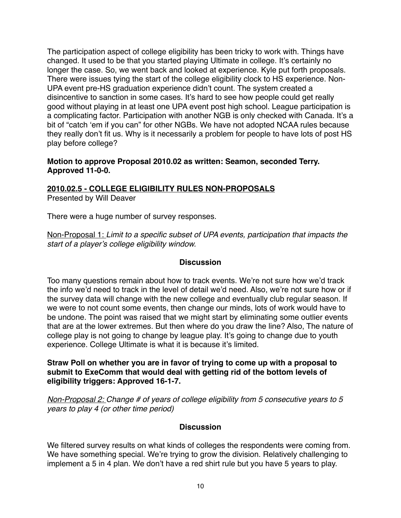The participation aspect of college eligibility has been tricky to work with. Things have changed. It used to be that you started playing Ultimate in college. It's certainly no longer the case. So, we went back and looked at experience. Kyle put forth proposals. There were issues tying the start of the college eligibility clock to HS experience. Non-UPA event pre-HS graduation experience didn't count. The system created a disincentive to sanction in some cases. It's hard to see how people could get really good without playing in at least one UPA event post high school. League participation is a complicating factor. Participation with another NGB is only checked with Canada. It's a bit of "catch ʻem if you can" for other NGBs. We have not adopted NCAA rules because they really don't fit us. Why is it necessarily a problem for people to have lots of post HS play before college?

#### **Motion to approve Proposal 2010.02 as written: Seamon, seconded Terry. Approved 11-0-0.**

#### **2010.02.5 - COLLEGE ELIGIBILITY RULES NON-PROPOSALS** Presented by Will Deaver

There were a huge number of survey responses.

Non-Proposal 1: *Limit to a specific subset of UPA events, participation that impacts the start of a player*'*s college eligibility window.*

# **Discussion**

Too many questions remain about how to track events. We're not sure how we'd track the info we'd need to track in the level of detail we'd need. Also, we're not sure how or if the survey data will change with the new college and eventually club regular season. If we were to not count some events, then change our minds, lots of work would have to be undone. The point was raised that we might start by eliminating some outlier events that are at the lower extremes. But then where do you draw the line? Also, The nature of college play is not going to change by league play. It's going to change due to youth experience. College Ultimate is what it is because it's limited.

## **Straw Poll on whether you are in favor of trying to come up with a proposal to submit to ExeComm that would deal with getting rid of the bottom levels of eligibility triggers: Approved 16-1-7.**

*Non-Proposal 2: Change # of years of college eligibility from 5 consecutive years to 5 years to play 4 (or other time period)*

# **Discussion**

We filtered survey results on what kinds of colleges the respondents were coming from. We have something special. We're trying to grow the division. Relatively challenging to implement a 5 in 4 plan. We don't have a red shirt rule but you have 5 years to play.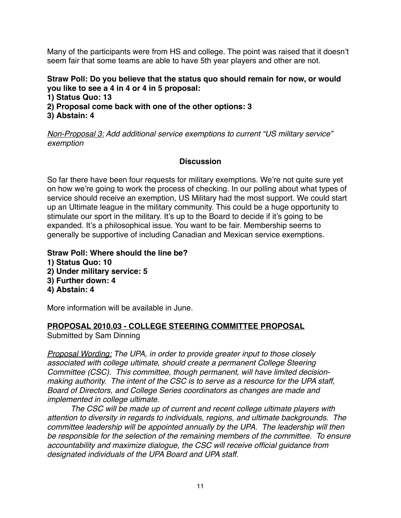Many of the participants were from HS and college. The point was raised that it doesn't seem fair that some teams are able to have 5th year players and other are not.

## **Straw Poll: Do you believe that the status quo should remain for now, or would you like to see a 4 in 4 or 4 in 5 proposal:**

**1) Status Quo: 13**

- **2) Proposal come back with one of the other options: 3**
- **3) Abstain: 4**

*Non-Proposal 3: Add additional service exemptions to current "US military service" exemption*

## **Discussion**

So far there have been four requests for military exemptions. We're not quite sure yet on how we're going to work the process of checking. In our polling about what types of service should receive an exemption, US Military had the most support. We could start up an Ultimate league in the military community. This could be a huge opportunity to stimulate our sport in the military. It's up to the Board to decide if it's going to be expanded. It's a philosophical issue. You want to be fair. Membership seems to generally be supportive of including Canadian and Mexican service exemptions.

- **Straw Poll: Where should the line be?**
- **1) Status Quo: 10**
- **2) Under military service: 5**
- **3) Further down: 4**
- **4) Abstain: 4**

More information will be available in June.

# **PROPOSAL 2010.03 - COLLEGE STEERING COMMITTEE PROPOSAL**

Submitted by Sam Dinning

*Proposal Wording: The UPA, in order to provide greater input to those closely associated with college ultimate, should create a permanent College Steering Committee (CSC). This committee, though permanent, will have limited decisionmaking authority. The intent of the CSC is to serve as a resource for the UPA staff, Board of Directors, and College Series coordinators as changes are made and implemented in college ultimate.*

*The CSC will be made up of current and recent college ultimate players with attention to diversity in regards to individuals, regions, and ultimate backgrounds. The committee leadership will be appointed annually by the UPA. The leadership will then be responsible for the selection of the remaining members of the committee. To ensure accountability and maximize dialogue, the CSC will receive official guidance from designated individuals of the UPA Board and UPA staff.*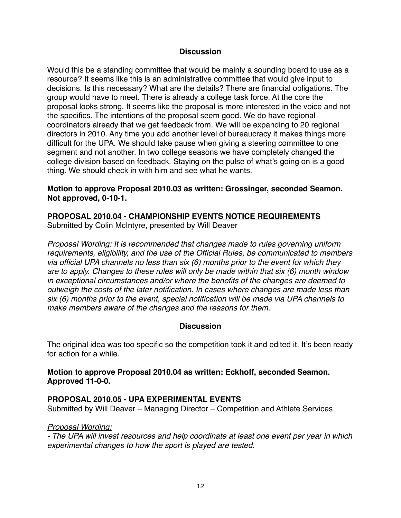#### **Discussion**

Would this be a standing committee that would be mainly a sounding board to use as a resource? It seems like this is an administrative committee that would give input to decisions. Is this necessary? What are the details? There are financial obligations. The group would have to meet. There is already a college task force. At the core the proposal looks strong. It seems like the proposal is more interested in the voice and not the specifics. The intentions of the proposal seem good. We do have regional coordinators already that we get feedback from. We will be expanding to 20 regional directors in 2010. Any time you add another level of bureaucracy it makes things more difficult for the UPA. We should take pause when giving a steering committee to one segment and not another. In two college seasons we have completely changed the college division based on feedback. Staying on the pulse of what's going on is a good thing. We should check in with him and see what he wants.

#### **Motion to approve Proposal 2010.03 as written: Grossinger, seconded Seamon. Not approved, 0-10-1.**

## **PROPOSAL 2010.04 - CHAMPIONSHIP EVENTS NOTICE REQUIREMENTS**

Submitted by Colin McIntyre, presented by Will Deaver

*Proposal Wording: It is recommended that changes made to rules governing uniform requirements, eligibility, and the use of the Official Rules, be communicated to members via official UPA channels no less than six (6) months prior to the event for which they are to apply. Changes to these rules will only be made within that six (6) month window in exceptional circumstances and/or where the benefits of the changes are deemed to outweigh the costs of the later notification. In cases where changes are made less than six (6) months prior to the event, special notification will be made via UPA channels to make members aware of the changes and the reasons for them.*

#### **Discussion**

The original idea was too specific so the competition took it and edited it. It's been ready for action for a while.

## **Motion to approve Proposal 2010.04 as written: Eckhoff, seconded Seamon. Approved 11-0-0.**

#### **PROPOSAL 2010.05 - UPA EXPERIMENTAL EVENTS**

Submitted by Will Deaver – Managing Director – Competition and Athlete Services

#### *Proposal Wording:*

*- The UPA will invest resources and help coordinate at least one event per year in which experimental changes to how the sport is played are tested.*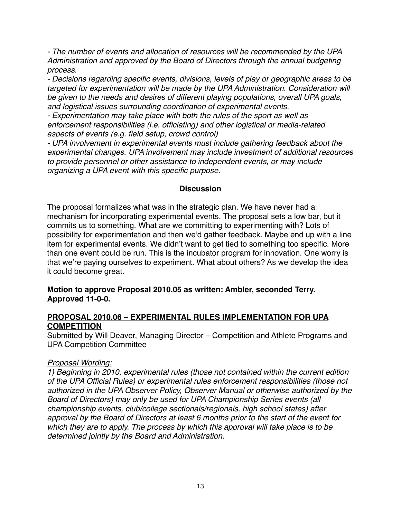*- The number of events and allocation of resources will be recommended by the UPA Administration and approved by the Board of Directors through the annual budgeting process.*

*- Decisions regarding specific events, divisions, levels of play or geographic areas to be targeted for experimentation will be made by the UPA Administration. Consideration will be given to the needs and desires of different playing populations, overall UPA goals, and logistical issues surrounding coordination of experimental events.*

*- Experimentation may take place with both the rules of the sport as well as enforcement responsibilities (i.e. officiating) and other logistical or media-related aspects of events (e.g. field setup, crowd control)*

*- UPA involvement in experimental events must include gathering feedback about the experimental changes. UPA involvement may include investment of additional resources to provide personnel or other assistance to independent events, or may include organizing a UPA event with this specific purpose.*

## **Discussion**

The proposal formalizes what was in the strategic plan. We have never had a mechanism for incorporating experimental events. The proposal sets a low bar, but it commits us to something. What are we committing to experimenting with? Lots of possibility for experimentation and then we'd gather feedback. Maybe end up with a line item for experimental events. We didn't want to get tied to something too specific. More than one event could be run. This is the incubator program for innovation. One worry is that we're paying ourselves to experiment. What about others? As we develop the idea it could become great.

## **Motion to approve Proposal 2010.05 as written: Ambler, seconded Terry. Approved 11-0-0.**

#### **PROPOSAL 2010.06 – EXPERIMENTAL RULES IMPLEMENTATION FOR UPA COMPETITION**

Submitted by Will Deaver, Managing Director – Competition and Athlete Programs and UPA Competition Committee

#### *Proposal Wording:*

*1) Beginning in 2010, experimental rules (those not contained within the current edition of the UPA Official Rules) or experimental rules enforcement responsibilities (those not authorized in the UPA Observer Policy, Observer Manual or otherwise authorized by the Board of Directors) may only be used for UPA Championship Series events (all championship events, club/college sectionals/regionals, high school states) after approval by the Board of Directors at least 6 months prior to the start of the event for which they are to apply. The process by which this approval will take place is to be determined jointly by the Board and Administration.*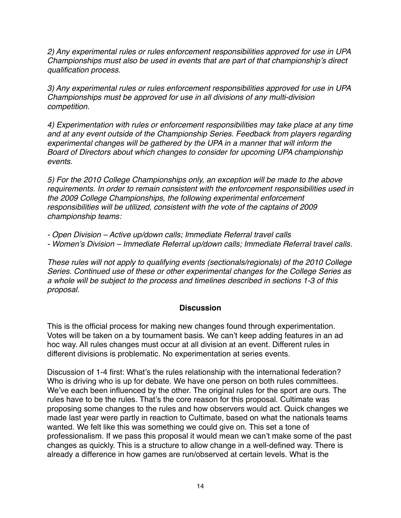*2) Any experimental rules or rules enforcement responsibilities approved for use in UPA Championships must also be used in events that are part of that championship*'*s direct qualification process.*

*3) Any experimental rules or rules enforcement responsibilities approved for use in UPA Championships must be approved for use in all divisions of any multi-division competition.*

*4) Experimentation with rules or enforcement responsibilities may take place at any time and at any event outside of the Championship Series. Feedback from players regarding experimental changes will be gathered by the UPA in a manner that will inform the Board of Directors about which changes to consider for upcoming UPA championship events.*

*5) For the 2010 College Championships only, an exception will be made to the above requirements. In order to remain consistent with the enforcement responsibilities used in the 2009 College Championships, the following experimental enforcement responsibilities will be utilized, consistent with the vote of the captains of 2009 championship teams:*

*- Open Division – Active up/down calls; Immediate Referral travel calls* 

*- Women*'*s Division – Immediate Referral up/down calls; Immediate Referral travel calls.* 

*These rules will not apply to qualifying events (sectionals/regionals) of the 2010 College Series. Continued use of these or other experimental changes for the College Series as a whole will be subject to the process and timelines described in sections 1-3 of this proposal.*

# **Discussion**

This is the official process for making new changes found through experimentation. Votes will be taken on a by tournament basis. We can't keep adding features in an ad hoc way. All rules changes must occur at all division at an event. Different rules in different divisions is problematic. No experimentation at series events.

Discussion of 1-4 first: What's the rules relationship with the international federation? Who is driving who is up for debate. We have one person on both rules committees. We've each been influenced by the other. The original rules for the sport are ours. The rules have to be the rules. That's the core reason for this proposal. Cultimate was proposing some changes to the rules and how observers would act. Quick changes we made last year were partly in reaction to Cultimate, based on what the nationals teams wanted. We felt like this was something we could give on. This set a tone of professionalism. If we pass this proposal it would mean we can't make some of the past changes as quickly. This is a structure to allow change in a well-defined way. There is already a difference in how games are run/observed at certain levels. What is the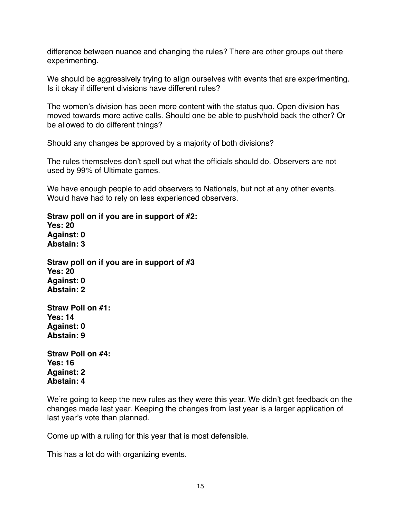difference between nuance and changing the rules? There are other groups out there experimenting.

We should be aggressively trying to align ourselves with events that are experimenting. Is it okay if different divisions have different rules?

The women's division has been more content with the status quo. Open division has moved towards more active calls. Should one be able to push/hold back the other? Or be allowed to do different things?

Should any changes be approved by a majority of both divisions?

The rules themselves don't spell out what the officials should do. Observers are not used by 99% of Ultimate games.

We have enough people to add observers to Nationals, but not at any other events. Would have had to rely on less experienced observers.

**Straw poll on if you are in support of #2: Yes: 20 Against: 0**

**Abstain: 3**

**Straw poll on if you are in support of #3 Yes: 20 Against: 0 Abstain: 2**

**Straw Poll on #1: Yes: 14 Against: 0 Abstain: 9**

**Straw Poll on #4: Yes: 16 Against: 2 Abstain: 4**

We're going to keep the new rules as they were this year. We didn't get feedback on the changes made last year. Keeping the changes from last year is a larger application of last year's vote than planned.

Come up with a ruling for this year that is most defensible.

This has a lot do with organizing events.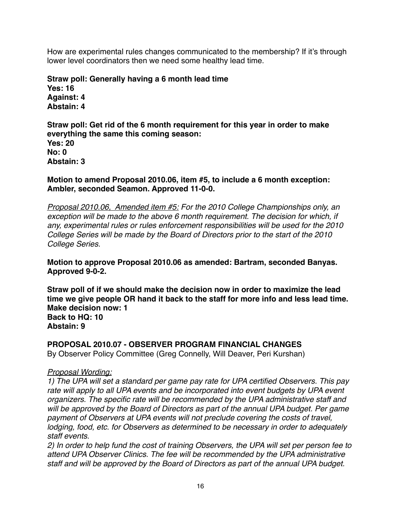How are experimental rules changes communicated to the membership? If it's through lower level coordinators then we need some healthy lead time.

**Straw poll: Generally having a 6 month lead time Yes: 16 Against: 4 Abstain: 4**

**Straw poll: Get rid of the 6 month requirement for this year in order to make everything the same this coming season: Yes: 20 No: 0 Abstain: 3**

**Motion to amend Proposal 2010.06, item #5, to include a 6 month exception: Ambler, seconded Seamon. Approved 11-0-0.** 

*Proposal 2010.06, Amended item #5: For the 2010 College Championships only, an exception will be made to the above 6 month requirement. The decision for which, if any, experimental rules or rules enforcement responsibilities will be used for the 2010 College Series will be made by the Board of Directors prior to the start of the 2010 College Series.*

**Motion to approve Proposal 2010.06 as amended: Bartram, seconded Banyas. Approved 9-0-2.** 

**Straw poll of if we should make the decision now in order to maximize the lead time we give people OR hand it back to the staff for more info and less lead time. Make decision now: 1 Back to HQ: 10 Abstain: 9**

**PROPOSAL 2010.07 - OBSERVER PROGRAM FINANCIAL CHANGES** By Observer Policy Committee (Greg Connelly, Will Deaver, Peri Kurshan)

#### *Proposal Wording:*

*1) The UPA will set a standard per game pay rate for UPA certified Observers. This pay*  rate will apply to all UPA events and be incorporated into event budgets by UPA event *organizers. The specific rate will be recommended by the UPA administrative staff and will be approved by the Board of Directors as part of the annual UPA budget. Per game payment of Observers at UPA events will not preclude covering the costs of travel, lodging, food, etc. for Observers as determined to be necessary in order to adequately staff events.*

*2) In order to help fund the cost of training Observers, the UPA will set per person fee to attend UPA Observer Clinics. The fee will be recommended by the UPA administrative staff and will be approved by the Board of Directors as part of the annual UPA budget.*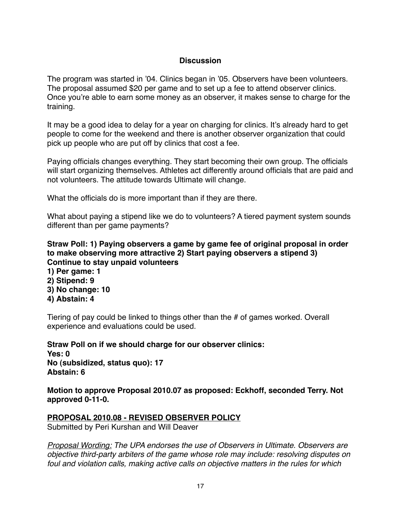#### **Discussion**

The program was started in '04. Clinics began in '05. Observers have been volunteers. The proposal assumed \$20 per game and to set up a fee to attend observer clinics. Once you're able to earn some money as an observer, it makes sense to charge for the training.

It may be a good idea to delay for a year on charging for clinics. It's already hard to get people to come for the weekend and there is another observer organization that could pick up people who are put off by clinics that cost a fee.

Paying officials changes everything. They start becoming their own group. The officials will start organizing themselves. Athletes act differently around officials that are paid and not volunteers. The attitude towards Ultimate will change.

What the officials do is more important than if they are there.

What about paying a stipend like we do to volunteers? A tiered payment system sounds different than per game payments?

## **Straw Poll: 1) Paying observers a game by game fee of original proposal in order to make observing more attractive 2) Start paying observers a stipend 3) Continue to stay unpaid volunteers**

- **1) Per game: 1 2) Stipend: 9**
- **3) No change: 10**
- **4) Abstain: 4**

Tiering of pay could be linked to things other than the # of games worked. Overall experience and evaluations could be used.

**Straw Poll on if we should charge for our observer clinics: Yes: 0 No (subsidized, status quo): 17 Abstain: 6**

**Motion to approve Proposal 2010.07 as proposed: Eckhoff, seconded Terry. Not approved 0-11-0.** 

# **PROPOSAL 2010.08 - REVISED OBSERVER POLICY**

Submitted by Peri Kurshan and Will Deaver

*Proposal Wording: The UPA endorses the use of Observers in Ultimate. Observers are objective third-party arbiters of the game whose role may include: resolving disputes on foul and violation calls, making active calls on objective matters in the rules for which*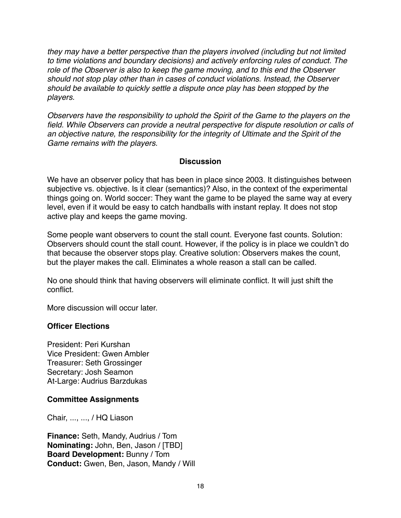*they may have a better perspective than the players involved (including but not limited to time violations and boundary decisions) and actively enforcing rules of conduct. The role of the Observer is also to keep the game moving, and to this end the Observer should not stop play other than in cases of conduct violations. Instead, the Observer should be available to quickly settle a dispute once play has been stopped by the players.*

*Observers have the responsibility to uphold the Spirit of the Game to the players on the field. While Observers can provide a neutral perspective for dispute resolution or calls of an objective nature, the responsibility for the integrity of Ultimate and the Spirit of the Game remains with the players.*

## **Discussion**

We have an observer policy that has been in place since 2003. It distinguishes between subjective vs. objective. Is it clear (semantics)? Also, in the context of the experimental things going on. World soccer: They want the game to be played the same way at every level, even if it would be easy to catch handballs with instant replay. It does not stop active play and keeps the game moving.

Some people want observers to count the stall count. Everyone fast counts. Solution: Observers should count the stall count. However, if the policy is in place we couldn't do that because the observer stops play. Creative solution: Observers makes the count, but the player makes the call. Eliminates a whole reason a stall can be called.

No one should think that having observers will eliminate conflict. It will just shift the conflict.

More discussion will occur later.

#### **Officer Elections**

President: Peri Kurshan Vice President: Gwen Ambler Treasurer: Seth Grossinger Secretary: Josh Seamon At-Large: Audrius Barzdukas

#### **Committee Assignments**

Chair, ..., ..., / HQ Liason

**Finance:** Seth, Mandy, Audrius / Tom **Nominating:** John, Ben, Jason / [TBD] **Board Development:** Bunny / Tom **Conduct:** Gwen, Ben, Jason, Mandy / Will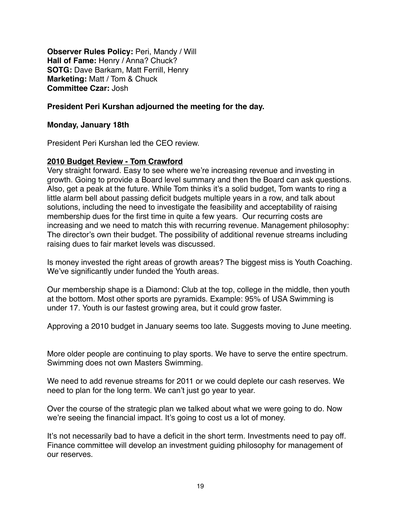**Observer Rules Policy:** Peri, Mandy / Will **Hall of Fame:** Henry / Anna? Chuck? **SOTG:** Dave Barkam, Matt Ferrill, Henry **Marketing:** Matt / Tom & Chuck **Committee Czar:** Josh

#### **President Peri Kurshan adjourned the meeting for the day.**

#### **Monday, January 18th**

President Peri Kurshan led the CEO review.

#### **2010 Budget Review - Tom Crawford**

Very straight forward. Easy to see where we're increasing revenue and investing in growth. Going to provide a Board level summary and then the Board can ask questions. Also, get a peak at the future. While Tom thinks it's a solid budget, Tom wants to ring a little alarm bell about passing deficit budgets multiple years in a row, and talk about solutions, including the need to investigate the feasibility and acceptability of raising membership dues for the first time in quite a few years. Our recurring costs are increasing and we need to match this with recurring revenue. Management philosophy: The director's own their budget. The possibility of additional revenue streams including raising dues to fair market levels was discussed.

Is money invested the right areas of growth areas? The biggest miss is Youth Coaching. We've significantly under funded the Youth areas.

Our membership shape is a Diamond: Club at the top, college in the middle, then youth at the bottom. Most other sports are pyramids. Example: 95% of USA Swimming is under 17. Youth is our fastest growing area, but it could grow faster.

Approving a 2010 budget in January seems too late. Suggests moving to June meeting.

More older people are continuing to play sports. We have to serve the entire spectrum. Swimming does not own Masters Swimming.

We need to add revenue streams for 2011 or we could deplete our cash reserves. We need to plan for the long term. We can't just go year to year.

Over the course of the strategic plan we talked about what we were going to do. Now we're seeing the financial impact. It's going to cost us a lot of money.

It's not necessarily bad to have a deficit in the short term. Investments need to pay off. Finance committee will develop an investment guiding philosophy for management of our reserves.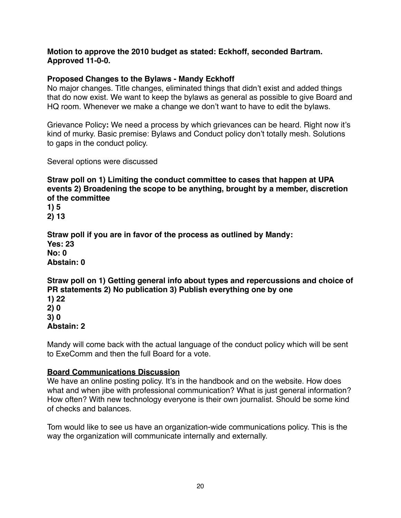#### **Motion to approve the 2010 budget as stated: Eckhoff, seconded Bartram. Approved 11-0-0.**

## **Proposed Changes to the Bylaws - Mandy Eckhoff**

No major changes. Title changes, eliminated things that didn't exist and added things that do now exist. We want to keep the bylaws as general as possible to give Board and HQ room. Whenever we make a change we don't want to have to edit the bylaws.

Grievance Policy**:** We need a process by which grievances can be heard. Right now it's kind of murky. Basic premise: Bylaws and Conduct policy don't totally mesh. Solutions to gaps in the conduct policy.

Several options were discussed

**Straw poll on 1) Limiting the conduct committee to cases that happen at UPA events 2) Broadening the scope to be anything, brought by a member, discretion of the committee**

**1) 5 2) 13**

**Straw poll if you are in favor of the process as outlined by Mandy: Yes: 23 No: 0 Abstain: 0**

# **Straw poll on 1) Getting general info about types and repercussions and choice of PR statements 2) No publication 3) Publish everything one by one**

**1) 22 2) 0 3) 0**

# **Abstain: 2**

Mandy will come back with the actual language of the conduct policy which will be sent to ExeComm and then the full Board for a vote.

# **Board Communications Discussion**

We have an online posting policy. It's in the handbook and on the website. How does what and when jibe with professional communication? What is just general information? How often? With new technology everyone is their own journalist. Should be some kind of checks and balances.

Tom would like to see us have an organization-wide communications policy. This is the way the organization will communicate internally and externally.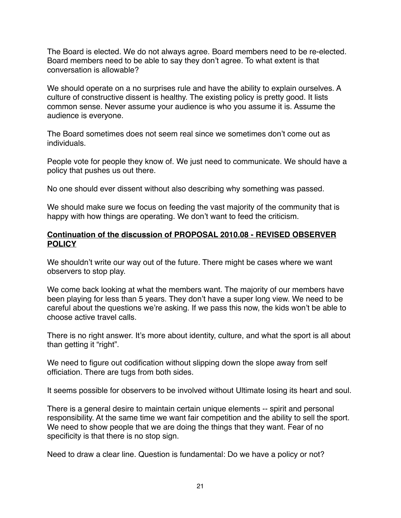The Board is elected. We do not always agree. Board members need to be re-elected. Board members need to be able to say they don't agree. To what extent is that conversation is allowable?

We should operate on a no surprises rule and have the ability to explain ourselves. A culture of constructive dissent is healthy. The existing policy is pretty good. It lists common sense. Never assume your audience is who you assume it is. Assume the audience is everyone.

The Board sometimes does not seem real since we sometimes don't come out as individuals.

People vote for people they know of. We just need to communicate. We should have a policy that pushes us out there.

No one should ever dissent without also describing why something was passed.

We should make sure we focus on feeding the vast majority of the community that is happy with how things are operating. We don't want to feed the criticism.

## **Continuation of the discussion of PROPOSAL 2010.08 - REVISED OBSERVER POLICY**

We shouldn't write our way out of the future. There might be cases where we want observers to stop play.

We come back looking at what the members want. The majority of our members have been playing for less than 5 years. They don't have a super long view. We need to be careful about the questions we're asking. If we pass this now, the kids won't be able to choose active travel calls.

There is no right answer. It's more about identity, culture, and what the sport is all about than getting it "right".

We need to figure out codification without slipping down the slope away from self officiation. There are tugs from both sides.

It seems possible for observers to be involved without Ultimate losing its heart and soul.

There is a general desire to maintain certain unique elements -- spirit and personal responsibility. At the same time we want fair competition and the ability to sell the sport. We need to show people that we are doing the things that they want. Fear of no specificity is that there is no stop sign.

Need to draw a clear line. Question is fundamental: Do we have a policy or not?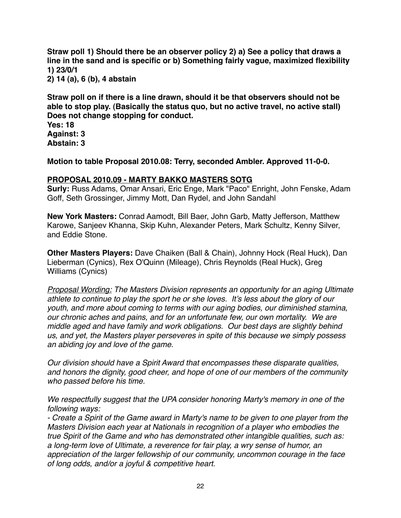**Straw poll 1) Should there be an observer policy 2) a) See a policy that draws a line in the sand and is specific or b) Something fairly vague, maximized flexibility 1) 23/0/1**

**2) 14 (a), 6 (b), 4 abstain**

**Straw poll on if there is a line drawn, should it be that observers should not be able to stop play. (Basically the status quo, but no active travel, no active stall) Does not change stopping for conduct.**

**Yes: 18 Against: 3 Abstain: 3**

**Motion to table Proposal 2010.08: Terry, seconded Ambler. Approved 11-0-0.**

## **PROPOSAL 2010.09 - MARTY BAKKO MASTERS SOTG**

**Surly:** Russ Adams, Omar Ansari, Eric Enge, Mark "Paco" Enright, John Fenske, Adam Goff, Seth Grossinger, Jimmy Mott, Dan Rydel, and John Sandahl

**New York Masters:** Conrad Aamodt, Bill Baer, John Garb, Matty Jefferson, Matthew Karowe, Sanjeev Khanna, Skip Kuhn, Alexander Peters, Mark Schultz, Kenny Silver, and Eddie Stone.

**Other Masters Players:** Dave Chaiken (Ball & Chain), Johnny Hock (Real Huck), Dan Lieberman (Cynics), Rex O'Quinn (Mileage), Chris Reynolds (Real Huck), Greg Williams (Cynics)

*Proposal Wording: The Masters Division represents an opportunity for an aging Ultimate athlete to continue to play the sport he or she loves. It*'*s less about the glory of our youth, and more about coming to terms with our aging bodies, our diminished stamina, our chronic aches and pains, and for an unfortunate few, our own mortality. We are middle aged and have family and work obligations. Our best days are slightly behind us, and yet, the Masters player perseveres in spite of this because we simply possess an abiding joy and love of the game.* 

*Our division should have a Spirit Award that encompasses these disparate qualities, and honors the dignity, good cheer, and hope of one of our members of the community who passed before his time.* 

*We respectfully suggest that the UPA consider honoring Marty's memory in one of the following ways:*

*- Create a Spirit of the Game award in Marty's name to be given to one player from the Masters Division each year at Nationals in recognition of a player who embodies the true Spirit of the Game and who has demonstrated other intangible qualities, such as: a long-term love of Ultimate, a reverence for fair play, a wry sense of humor, an appreciation of the larger fellowship of our community, uncommon courage in the face of long odds, and/or a joyful & competitive heart.*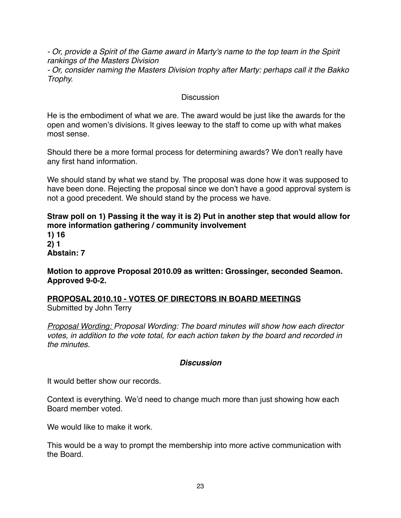*- Or, provide a Spirit of the Game award in Marty's name to the top team in the Spirit rankings of the Masters Division*

*- Or, consider naming the Masters Division trophy after Marty: perhaps call it the Bakko Trophy.*

## **Discussion**

He is the embodiment of what we are. The award would be just like the awards for the open and women's divisions. It gives leeway to the staff to come up with what makes most sense.

Should there be a more formal process for determining awards? We don't really have any first hand information.

We should stand by what we stand by. The proposal was done how it was supposed to have been done. Rejecting the proposal since we don't have a good approval system is not a good precedent. We should stand by the process we have.

**Straw poll on 1) Passing it the way it is 2) Put in another step that would allow for more information gathering / community involvement**

**1) 16 2) 1 Abstain: 7**

**Motion to approve Proposal 2010.09 as written: Grossinger, seconded Seamon. Approved 9-0-2.** 

**PROPOSAL 2010.10 - VOTES OF DIRECTORS IN BOARD MEETINGS** Submitted by John Terry

*Proposal Wording: Proposal Wording: The board minutes will show how each director votes, in addition to the vote total, for each action taken by the board and recorded in the minutes.* 

# *Discussion*

It would better show our records.

Context is everything. We'd need to change much more than just showing how each Board member voted.

We would like to make it work.

This would be a way to prompt the membership into more active communication with the Board.